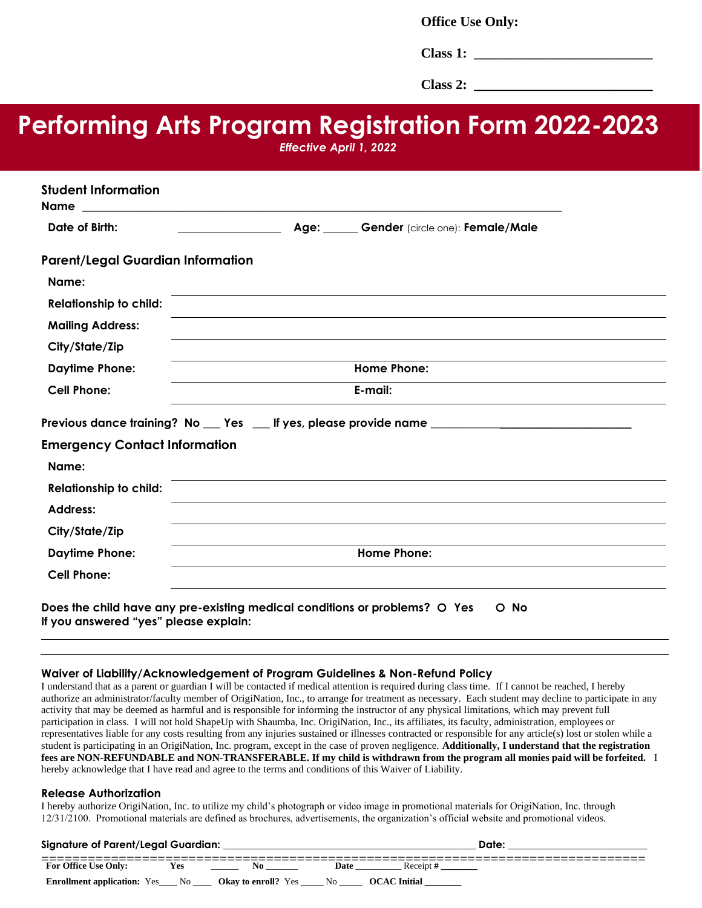**Office Use Only:**

**Class 1:**  $\blacksquare$ 

**Class 2: \_\_\_\_\_\_\_\_\_\_\_\_\_\_\_\_\_\_\_\_\_\_\_\_\_\_**

# **Performing Arts Program Registration Form 2022-2023**

*Effective April 1, 2022*

| <b>Student Information</b><br><b>Name</b>                                                                                   | <u> 1989 - Johann Harry Harry Harry Harry Harry Harry Harry Harry Harry Harry Harry Harry Harry Harry Harry Harry</u> |  |  |  |  |
|-----------------------------------------------------------------------------------------------------------------------------|-----------------------------------------------------------------------------------------------------------------------|--|--|--|--|
| Date of Birth:                                                                                                              | Age: Gender (circle one): Female/Male                                                                                 |  |  |  |  |
| <b>Parent/Legal Guardian Information</b>                                                                                    |                                                                                                                       |  |  |  |  |
| Name:                                                                                                                       |                                                                                                                       |  |  |  |  |
| <b>Relationship to child:</b>                                                                                               |                                                                                                                       |  |  |  |  |
| <b>Mailing Address:</b>                                                                                                     |                                                                                                                       |  |  |  |  |
| City/State/Zip                                                                                                              |                                                                                                                       |  |  |  |  |
| <b>Daytime Phone:</b>                                                                                                       | <b>Home Phone:</b>                                                                                                    |  |  |  |  |
| <b>Cell Phone:</b>                                                                                                          | E-mail:                                                                                                               |  |  |  |  |
|                                                                                                                             | Previous dance training? No ___ Yes ___ If yes, please provide name _____________                                     |  |  |  |  |
| <b>Emergency Contact Information</b>                                                                                        |                                                                                                                       |  |  |  |  |
| Name:                                                                                                                       |                                                                                                                       |  |  |  |  |
| <b>Relationship to child:</b>                                                                                               |                                                                                                                       |  |  |  |  |
| <b>Address:</b>                                                                                                             |                                                                                                                       |  |  |  |  |
| City/State/Zip                                                                                                              |                                                                                                                       |  |  |  |  |
| <b>Daytime Phone:</b>                                                                                                       | <b>Home Phone:</b>                                                                                                    |  |  |  |  |
| <b>Cell Phone:</b>                                                                                                          |                                                                                                                       |  |  |  |  |
| Does the child have any pre-existing medical conditions or problems? O Yes<br>O No<br>If you answered "yes" please explain: |                                                                                                                       |  |  |  |  |

#### **Waiver of Liability/Acknowledgement of Program Guidelines & Non-Refund Policy**

I understand that as a parent or guardian I will be contacted if medical attention is required during class time. If I cannot be reached, I hereby authorize an administrator/faculty member of OrigiNation, Inc., to arrange for treatment as necessary. Each student may decline to participate in any activity that may be deemed as harmful and is responsible for informing the instructor of any physical limitations, which may prevent full participation in class. I will not hold ShapeUp with Shaumba, Inc. OrigiNation, Inc., its affiliates, its faculty, administration, employees or representatives liable for any costs resulting from any injuries sustained or illnesses contracted or responsible for any article(s) lost or stolen while a student is participating in an OrigiNation, Inc. program, except in the case of proven negligence. **Additionally, I understand that the registration fees are NON-REFUNDABLE and NON-TRANSFERABLE. If my child is withdrawn from the program all monies paid will be forfeited.** I hereby acknowledge that I have read and agree to the terms and conditions of this Waiver of Liability.

#### **Release Authorization**

I hereby authorize OrigiNation, Inc. to utilize my child's photograph or video image in promotional materials for OrigiNation, Inc. through 12/31/2100. Promotional materials are defined as brochures, advertisements, the organization's official website and promotional videos.

| <b>Signature of Parent/Legal Guardian:</b> |     |                            |                |              |  |  |
|--------------------------------------------|-----|----------------------------|----------------|--------------|--|--|
| <b>For Office Use Only:</b>                |     |                            | <b>Date</b>    | Receipt      |  |  |
| <b>Enrollment application:</b> Yes_        | No. | <b>Okay to enroll?</b> Yes | N <sub>0</sub> | OCAC Initial |  |  |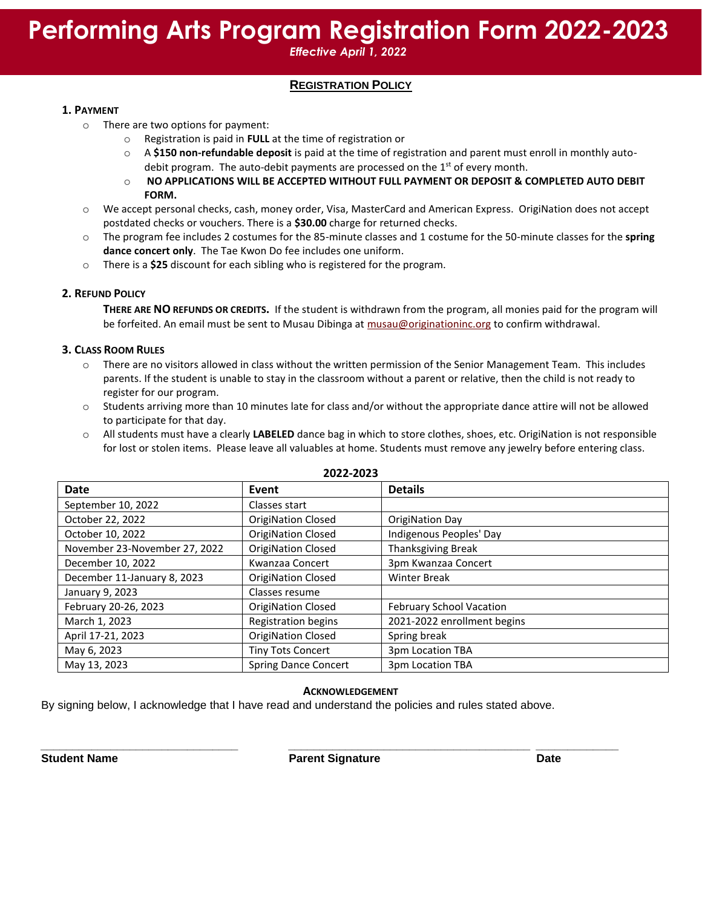## **Performing Arts Program Registration Form 2022-2023**

*Effective April 1, 2022*

## **REGISTRATION POLICY**

#### **1. PAYMENT**

- o There are two options for payment:
	- o Registration is paid in **FULL** at the time of registration or
	- o A **\$150 non-refundable deposit** is paid at the time of registration and parent must enroll in monthly autodebit program. The auto-debit payments are processed on the  $1<sup>st</sup>$  of every month.
	- o **NO APPLICATIONS WILL BE ACCEPTED WITHOUT FULL PAYMENT OR DEPOSIT & COMPLETED AUTO DEBIT FORM.**
- o We accept personal checks, cash, money order, Visa, MasterCard and American Express. OrigiNation does not accept postdated checks or vouchers. There is a **\$30.00** charge for returned checks.
- o The program fee includes 2 costumes for the 85-minute classes and 1 costume for the 50-minute classes for the **spring dance concert only**. The Tae Kwon Do fee includes one uniform.
- o There is a **\$25** discount for each sibling who is registered for the program.

#### **2. REFUND POLICY**

**THERE ARE NO REFUNDS OR CREDITS.** If the student is withdrawn from the program, all monies paid for the program will be forfeited. An email must be sent to Musau Dibinga at [musau@originationinc.org](mailto:musau@originationinc.org) to confirm withdrawal.

#### **3. CLASS ROOM RULES**

- o There are no visitors allowed in class without the written permission of the Senior Management Team. This includes parents. If the student is unable to stay in the classroom without a parent or relative, then the child is not ready to register for our program.
- $\circ$  Students arriving more than 10 minutes late for class and/or without the appropriate dance attire will not be allowed to participate for that day.
- o All students must have a clearly **LABELED** dance bag in which to store clothes, shoes, etc. OrigiNation is not responsible for lost or stolen items. Please leave all valuables at home. Students must remove any jewelry before entering class.

| <b>Date</b>                   | Event                       | <b>Details</b>              |  |
|-------------------------------|-----------------------------|-----------------------------|--|
| September 10, 2022            | Classes start               |                             |  |
| October 22, 2022              | <b>OrigiNation Closed</b>   | OrigiNation Day             |  |
| October 10, 2022              | <b>OrigiNation Closed</b>   | Indigenous Peoples' Day     |  |
| November 23-November 27, 2022 | <b>OrigiNation Closed</b>   | <b>Thanksgiving Break</b>   |  |
| December 10, 2022             | Kwanzaa Concert             | 3pm Kwanzaa Concert         |  |
| December 11-January 8, 2023   | <b>OrigiNation Closed</b>   | <b>Winter Break</b>         |  |
| January 9, 2023               | Classes resume              |                             |  |
| February 20-26, 2023          | <b>OrigiNation Closed</b>   | February School Vacation    |  |
| March 1, 2023                 | <b>Registration begins</b>  | 2021-2022 enrollment begins |  |
| April 17-21, 2023             | <b>OrigiNation Closed</b>   | Spring break                |  |
| May 6, 2023                   | <b>Tiny Tots Concert</b>    | 3pm Location TBA            |  |
| May 13, 2023                  | <b>Spring Dance Concert</b> | 3pm Location TBA            |  |

### **2022-2023**

#### **ACKNOWLEDGEMENT**

By signing below, I acknowledge that I have read and understand the policies and rules stated above.

*\_\_\_\_\_\_\_\_\_\_\_\_\_\_\_\_\_\_\_\_\_\_\_\_\_\_\_\_\_\_\_ \_\_\_\_\_\_\_\_\_\_\_\_\_\_\_\_\_\_\_\_\_\_\_\_\_\_\_\_\_\_\_\_\_\_\_\_\_\_ \_\_\_\_\_\_\_\_\_\_\_\_\_* **Student Name Parent Signature Date**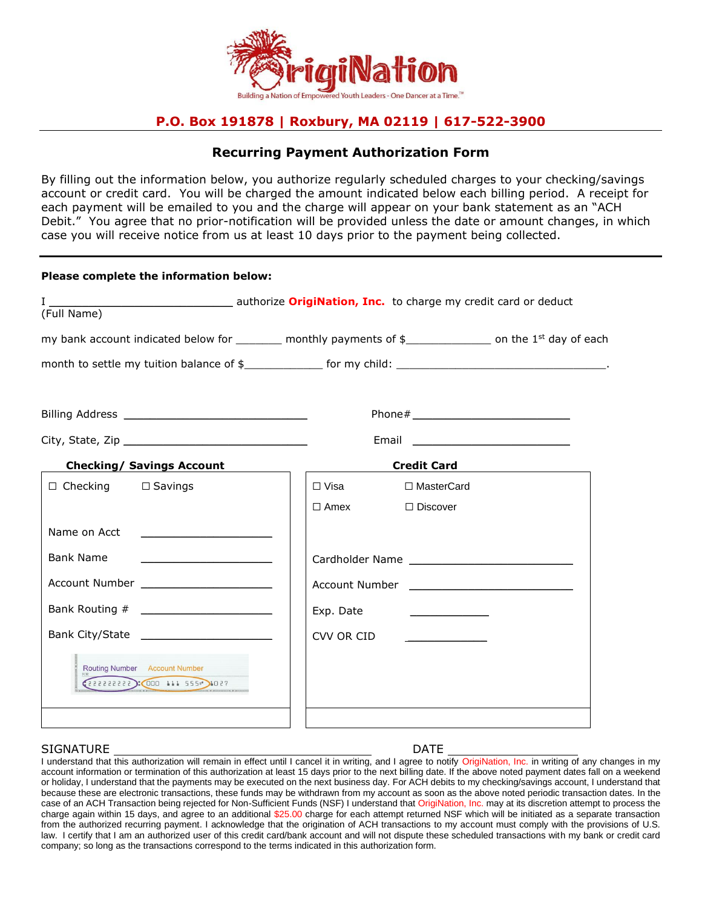

## **P.O. Box 191878 | Roxbury, MA 02119 | 617-522-3900**

### **Recurring Payment Authorization Form**

By filling out the information below, you authorize regularly scheduled charges to your checking/savings account or credit card. You will be charged the amount indicated below each billing period. A receipt for each payment will be emailed to you and the charge will appear on your bank statement as an "ACH Debit." You agree that no prior-notification will be provided unless the date or amount changes, in which case you will receive notice from us at least 10 days prior to the payment being collected.

| Please complete the information below: |                                                                                                                                 |  |  |
|----------------------------------------|---------------------------------------------------------------------------------------------------------------------------------|--|--|
|                                        |                                                                                                                                 |  |  |
|                                        |                                                                                                                                 |  |  |
|                                        |                                                                                                                                 |  |  |
|                                        |                                                                                                                                 |  |  |
|                                        |                                                                                                                                 |  |  |
|                                        |                                                                                                                                 |  |  |
|                                        |                                                                                                                                 |  |  |
| □ Visa<br>□ MasterCard                 |                                                                                                                                 |  |  |
| $\Box$ Amex<br>$\Box$ Discover         |                                                                                                                                 |  |  |
|                                        |                                                                                                                                 |  |  |
|                                        |                                                                                                                                 |  |  |
|                                        |                                                                                                                                 |  |  |
| Exp. Date                              |                                                                                                                                 |  |  |
| CVV OR CID                             |                                                                                                                                 |  |  |
|                                        |                                                                                                                                 |  |  |
|                                        | my bank account indicated below for ________ monthly payments of $\frac{1}{2}$ _____________ on the 1 <sup>st</sup> day of each |  |  |

#### SIGNATURE DATE

I understand that this authorization will remain in effect until I cancel it in writing, and I agree to notify OrigiNation, Inc. in writing of any changes in my account information or termination of this authorization at least 15 days prior to the next billing date. If the above noted payment dates fall on a weekend or holiday, I understand that the payments may be executed on the next business day. For ACH debits to my checking/savings account, I understand that because these are electronic transactions, these funds may be withdrawn from my account as soon as the above noted periodic transaction dates. In the case of an ACH Transaction being rejected for Non-Sufficient Funds (NSF) I understand that OrigiNation, Inc. may at its discretion attempt to process the charge again within 15 days, and agree to an additional \$25.00 charge for each attempt returned NSF which will be initiated as a separate transaction from the authorized recurring payment. I acknowledge that the origination of ACH transactions to my account must comply with the provisions of U.S. law. I certify that I am an authorized user of this credit card/bank account and will not dispute these scheduled transactions with my bank or credit card company; so long as the transactions correspond to the terms indicated in this authorization form.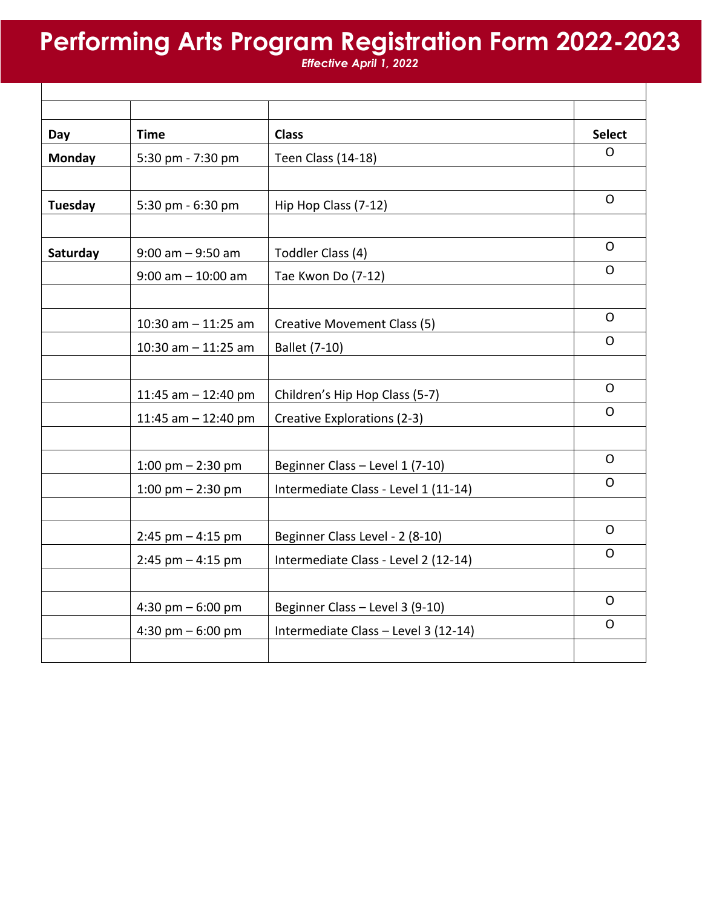## **Performing Arts Program Registration Form 2022-2023**

*Effective April 1, 2022*

| Day           | <b>Time</b>            | <b>Class</b>                         | <b>Select</b> |
|---------------|------------------------|--------------------------------------|---------------|
| <b>Monday</b> | 5:30 pm - 7:30 pm      | Teen Class (14-18)                   | O.            |
|               |                        |                                      |               |
| Tuesday       | 5:30 pm - 6:30 pm      | Hip Hop Class (7-12)                 | $\Omega$      |
|               |                        |                                      |               |
| Saturday      | $9:00$ am $-9:50$ am   | Toddler Class (4)                    | O             |
|               | $9:00$ am $-10:00$ am  | Tae Kwon Do (7-12)                   | $\mathsf{O}$  |
|               |                        |                                      |               |
|               | $10:30$ am $-11:25$ am | Creative Movement Class (5)          | 0             |
|               | $10:30$ am $-11:25$ am | Ballet (7-10)                        | 0             |
|               |                        |                                      |               |
|               | 11:45 am $-$ 12:40 pm  | Children's Hip Hop Class (5-7)       | $\mathsf{O}$  |
|               | 11:45 am $-$ 12:40 pm  | Creative Explorations (2-3)          | $\mathsf{O}$  |
|               |                        |                                      |               |
|               | 1:00 pm $-$ 2:30 pm    | Beginner Class - Level 1 (7-10)      | O             |
|               | 1:00 pm $-$ 2:30 pm    | Intermediate Class - Level 1 (11-14) | O             |
|               |                        |                                      |               |
|               | $2:45$ pm $-4:15$ pm   | Beginner Class Level - 2 (8-10)      | $\mathsf{O}$  |
|               | $2:45$ pm $-4:15$ pm   | Intermediate Class - Level 2 (12-14) | O             |
|               |                        |                                      |               |
|               | 4:30 pm $-6:00$ pm     | Beginner Class - Level 3 (9-10)      | O             |
|               | 4:30 pm $-6:00$ pm     | Intermediate Class - Level 3 (12-14) | $\mathsf{O}$  |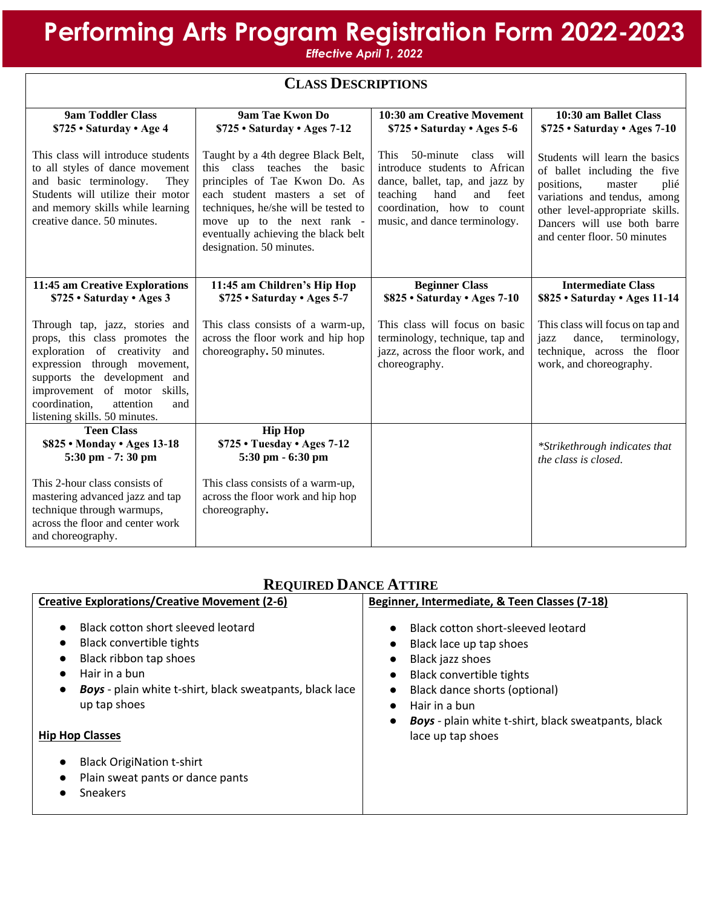# **Performing Arts Program Registration Form 2022-2023**

*Effective April 1, 2022*

| <b>CLASS DESCRIPTIONS</b>                                                                                                                                                                                                                                                  |                                                                                                                                                                                                                                                                               |                                                                                                                                                                                                              |                                                                                                                                                                                                                                  |  |
|----------------------------------------------------------------------------------------------------------------------------------------------------------------------------------------------------------------------------------------------------------------------------|-------------------------------------------------------------------------------------------------------------------------------------------------------------------------------------------------------------------------------------------------------------------------------|--------------------------------------------------------------------------------------------------------------------------------------------------------------------------------------------------------------|----------------------------------------------------------------------------------------------------------------------------------------------------------------------------------------------------------------------------------|--|
| <b>9am Toddler Class</b><br>\$725 · Saturday · Age 4                                                                                                                                                                                                                       | 9am Tae Kwon Do<br>\$725 · Saturday · Ages 7-12                                                                                                                                                                                                                               | 10:30 am Creative Movement<br>\$725 · Saturday · Ages 5-6                                                                                                                                                    | 10:30 am Ballet Class<br>\$725 · Saturday · Ages 7-10                                                                                                                                                                            |  |
| This class will introduce students<br>to all styles of dance movement<br>and basic terminology.<br>They<br>Students will utilize their motor<br>and memory skills while learning<br>creative dance. 50 minutes.                                                            | Taught by a 4th degree Black Belt,<br>this class teaches the basic<br>principles of Tae Kwon Do. As<br>each student masters a set of<br>techniques, he/she will be tested to<br>move up to the next rank -<br>eventually achieving the black belt<br>designation. 50 minutes. | 50-minute<br>class will<br><b>This</b><br>introduce students to African<br>dance, ballet, tap, and jazz by<br>teaching<br>hand<br>and<br>feet<br>coordination, how to count<br>music, and dance terminology. | Students will learn the basics<br>of ballet including the five<br>positions,<br>master<br>plié<br>variations and tendus, among<br>other level-appropriate skills.<br>Dancers will use both barre<br>and center floor. 50 minutes |  |
| 11:45 am Creative Explorations<br>\$725 · Saturday · Ages 3                                                                                                                                                                                                                | 11:45 am Children's Hip Hop<br>\$725 · Saturday · Ages 5-7                                                                                                                                                                                                                    | <b>Beginner Class</b><br>\$825 . Saturday . Ages 7-10                                                                                                                                                        | <b>Intermediate Class</b><br>\$825 · Saturday · Ages 11-14                                                                                                                                                                       |  |
| Through tap, jazz, stories and<br>props, this class promotes the<br>exploration of creativity<br>and<br>expression through movement,<br>supports the development and<br>improvement of motor skills,<br>coordination,<br>attention<br>and<br>listening skills. 50 minutes. | This class consists of a warm-up,<br>across the floor work and hip hop<br>choreography. 50 minutes.                                                                                                                                                                           | This class will focus on basic<br>terminology, technique, tap and<br>jazz, across the floor work, and<br>choreography.                                                                                       | This class will focus on tap and<br>dance,<br>terminology,<br>jazz<br>technique, across the floor<br>work, and choreography.                                                                                                     |  |
| <b>Teen Class</b>                                                                                                                                                                                                                                                          | <b>Hip Hop</b>                                                                                                                                                                                                                                                                |                                                                                                                                                                                                              |                                                                                                                                                                                                                                  |  |
| \$825 . Monday . Ages 13-18<br>5:30 pm - 7:30 pm                                                                                                                                                                                                                           | \$725 . Tuesday . Ages 7-12<br>5:30 pm - 6:30 pm                                                                                                                                                                                                                              |                                                                                                                                                                                                              | *Strikethrough indicates that<br>the class is closed.                                                                                                                                                                            |  |
| This 2-hour class consists of<br>mastering advanced jazz and tap<br>technique through warmups,<br>across the floor and center work<br>and choreography.                                                                                                                    | This class consists of a warm-up,<br>across the floor work and hip hop<br>choreography.                                                                                                                                                                                       |                                                                                                                                                                                                              |                                                                                                                                                                                                                                  |  |

## **REQUIRED DANCE ATTIRE**

| <b>Creative Explorations/Creative Movement (2-6)</b>                                                                                                                                                                                                                             | Beginner, Intermediate, & Teen Classes (7-18)                                                                                                                                                                                                      |  |  |
|----------------------------------------------------------------------------------------------------------------------------------------------------------------------------------------------------------------------------------------------------------------------------------|----------------------------------------------------------------------------------------------------------------------------------------------------------------------------------------------------------------------------------------------------|--|--|
| Black cotton short sleeved leotard<br>$\bullet$<br>Black convertible tights<br>$\bullet$<br>Black ribbon tap shoes<br>$\bullet$<br>Hair in a bun<br>$\bullet$<br>Boys - plain white t-shirt, black sweatpants, black lace<br>$\bullet$<br>up tap shoes<br><b>Hip Hop Classes</b> | Black cotton short-sleeved leotard<br>Black lace up tap shoes<br>Black jazz shoes<br>Black convertible tights<br>Black dance shorts (optional)<br>Hair in a bun<br><b>Boys</b> - plain white t-shirt, black sweatpants, black<br>lace up tap shoes |  |  |
| <b>Black OrigiNation t-shirt</b><br>$\bullet$<br>Plain sweat pants or dance pants<br><b>Sneakers</b>                                                                                                                                                                             |                                                                                                                                                                                                                                                    |  |  |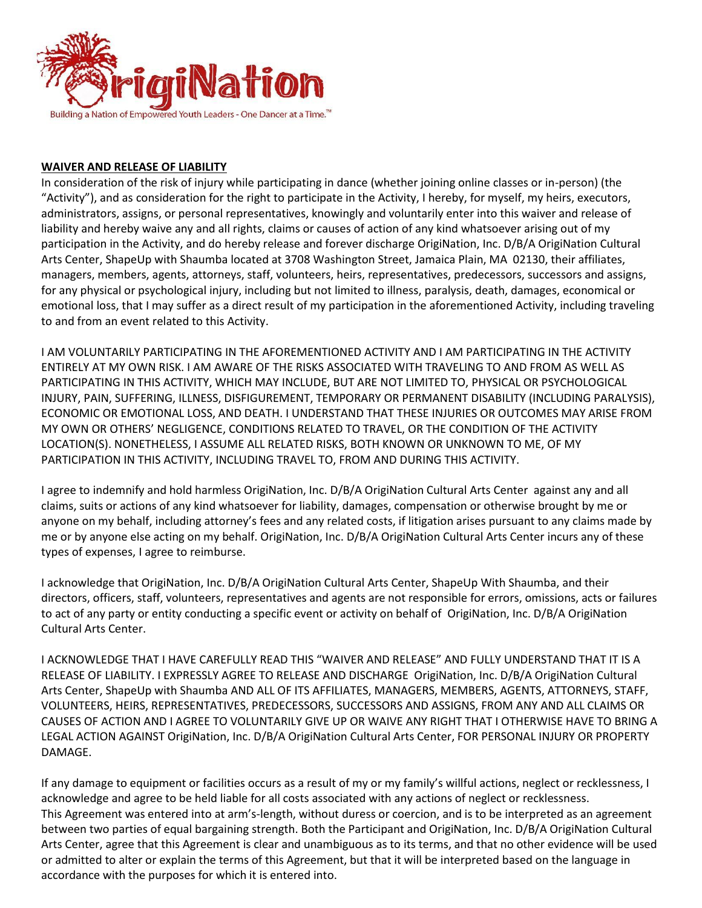

### **WAIVER AND RELEASE OF LIABILITY**

In consideration of the risk of injury while participating in dance (whether joining online classes or in-person) (the "Activity"), and as consideration for the right to participate in the Activity, I hereby, for myself, my heirs, executors, administrators, assigns, or personal representatives, knowingly and voluntarily enter into this waiver and release of liability and hereby waive any and all rights, claims or causes of action of any kind whatsoever arising out of my participation in the Activity, and do hereby release and forever discharge OrigiNation, Inc. D/B/A OrigiNation Cultural Arts Center, ShapeUp with Shaumba located at 3708 Washington Street, Jamaica Plain, MA 02130, their affiliates, managers, members, agents, attorneys, staff, volunteers, heirs, representatives, predecessors, successors and assigns, for any physical or psychological injury, including but not limited to illness, paralysis, death, damages, economical or emotional loss, that I may suffer as a direct result of my participation in the aforementioned Activity, including traveling to and from an event related to this Activity.

I AM VOLUNTARILY PARTICIPATING IN THE AFOREMENTIONED ACTIVITY AND I AM PARTICIPATING IN THE ACTIVITY ENTIRELY AT MY OWN RISK. I AM AWARE OF THE RISKS ASSOCIATED WITH TRAVELING TO AND FROM AS WELL AS PARTICIPATING IN THIS ACTIVITY, WHICH MAY INCLUDE, BUT ARE NOT LIMITED TO, PHYSICAL OR PSYCHOLOGICAL INJURY, PAIN, SUFFERING, ILLNESS, DISFIGUREMENT, TEMPORARY OR PERMANENT DISABILITY (INCLUDING PARALYSIS), ECONOMIC OR EMOTIONAL LOSS, AND DEATH. I UNDERSTAND THAT THESE INJURIES OR OUTCOMES MAY ARISE FROM MY OWN OR OTHERS' NEGLIGENCE, CONDITIONS RELATED TO TRAVEL, OR THE CONDITION OF THE ACTIVITY LOCATION(S). NONETHELESS, I ASSUME ALL RELATED RISKS, BOTH KNOWN OR UNKNOWN TO ME, OF MY PARTICIPATION IN THIS ACTIVITY, INCLUDING TRAVEL TO, FROM AND DURING THIS ACTIVITY.

I agree to indemnify and hold harmless OrigiNation, Inc. D/B/A OrigiNation Cultural Arts Center against any and all claims, suits or actions of any kind whatsoever for liability, damages, compensation or otherwise brought by me or anyone on my behalf, including attorney's fees and any related costs, if litigation arises pursuant to any claims made by me or by anyone else acting on my behalf. OrigiNation, Inc. D/B/A OrigiNation Cultural Arts Center incurs any of these types of expenses, I agree to reimburse.

I acknowledge that OrigiNation, Inc. D/B/A OrigiNation Cultural Arts Center, ShapeUp With Shaumba, and their directors, officers, staff, volunteers, representatives and agents are not responsible for errors, omissions, acts or failures to act of any party or entity conducting a specific event or activity on behalf of OrigiNation, Inc. D/B/A OrigiNation Cultural Arts Center.

I ACKNOWLEDGE THAT I HAVE CAREFULLY READ THIS "WAIVER AND RELEASE" AND FULLY UNDERSTAND THAT IT IS A RELEASE OF LIABILITY. I EXPRESSLY AGREE TO RELEASE AND DISCHARGE OrigiNation, Inc. D/B/A OrigiNation Cultural Arts Center, ShapeUp with Shaumba AND ALL OF ITS AFFILIATES, MANAGERS, MEMBERS, AGENTS, ATTORNEYS, STAFF, VOLUNTEERS, HEIRS, REPRESENTATIVES, PREDECESSORS, SUCCESSORS AND ASSIGNS, FROM ANY AND ALL CLAIMS OR CAUSES OF ACTION AND I AGREE TO VOLUNTARILY GIVE UP OR WAIVE ANY RIGHT THAT I OTHERWISE HAVE TO BRING A LEGAL ACTION AGAINST OrigiNation, Inc. D/B/A OrigiNation Cultural Arts Center, FOR PERSONAL INJURY OR PROPERTY DAMAGE.

If any damage to equipment or facilities occurs as a result of my or my family's willful actions, neglect or recklessness, I acknowledge and agree to be held liable for all costs associated with any actions of neglect or recklessness. This Agreement was entered into at arm's-length, without duress or coercion, and is to be interpreted as an agreement between two parties of equal bargaining strength. Both the Participant and OrigiNation, Inc. D/B/A OrigiNation Cultural Arts Center, agree that this Agreement is clear and unambiguous as to its terms, and that no other evidence will be used or admitted to alter or explain the terms of this Agreement, but that it will be interpreted based on the language in accordance with the purposes for which it is entered into.